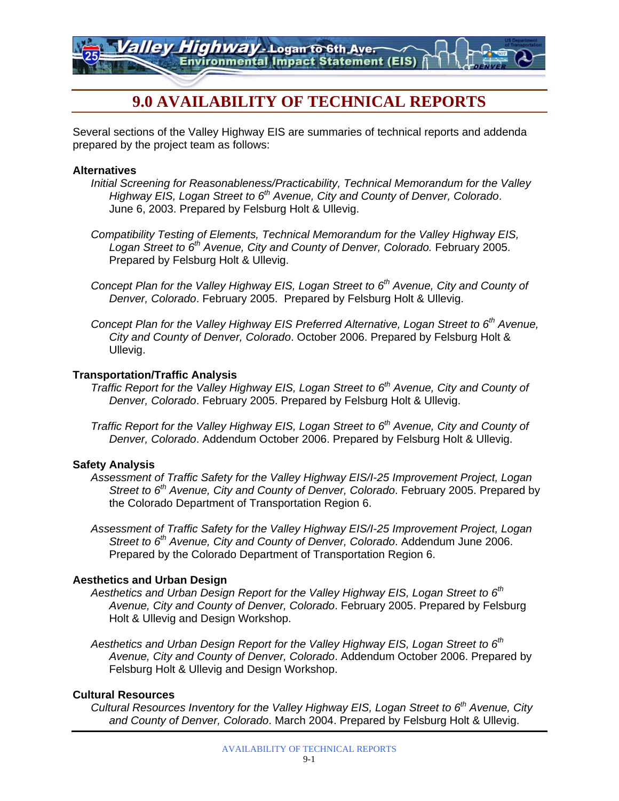*Highway* - Logan to 6th Aver **Environmental Impact Statement (EIS)** 

# **9.0 AVAILABILITY OF TECHNICAL REPORTS**

Several sections of the Valley Highway EIS are summaries of technical reports and addenda prepared by the project team as follows:

#### **Alternatives**

- *Initial Screening for Reasonableness/Practicability, Technical Memorandum for the Valley Highway EIS, Logan Street to 6th Avenue, City and County of Denver, Colorado*. June 6, 2003. Prepared by Felsburg Holt & Ullevig.
- *Compatibility Testing of Elements, Technical Memorandum for the Valley Highway EIS, Logan Street to 6th Avenue, City and County of Denver, Colorado.* February 2005. Prepared by Felsburg Holt & Ullevig.
- *Concept Plan for the Valley Highway EIS, Logan Street to 6th Avenue, City and County of Denver, Colorado*. February 2005. Prepared by Felsburg Holt & Ullevig.
- *Concept Plan for the Valley Highway EIS Preferred Alternative, Logan Street to 6th Avenue, City and County of Denver, Colorado*. October 2006. Prepared by Felsburg Holt & Ullevig.

## **Transportation/Traffic Analysis**

- *Traffic Report for the Valley Highway EIS, Logan Street to 6<sup>th</sup> Avenue, City and County of Denver, Colorado*. February 2005. Prepared by Felsburg Holt & Ullevig.
- *Traffic Report for the Valley Highway EIS, Logan Street to 6<sup>th</sup> Avenue, City and County of Denver, Colorado*. Addendum October 2006. Prepared by Felsburg Holt & Ullevig.

# **Safety Analysis**

- *Assessment of Traffic Safety for the Valley Highway EIS/I-25 Improvement Project, Logan Street to 6th Avenue, City and County of Denver, Colorado*. February 2005. Prepared by the Colorado Department of Transportation Region 6.
- *Assessment of Traffic Safety for the Valley Highway EIS/I-25 Improvement Project, Logan Street to 6th Avenue, City and County of Denver, Colorado*. Addendum June 2006. Prepared by the Colorado Department of Transportation Region 6.

# **Aesthetics and Urban Design**

- *Aesthetics and Urban Design Report for the Valley Highway EIS, Logan Street to 6th Avenue, City and County of Denver, Colorado*. February 2005. Prepared by Felsburg Holt & Ullevig and Design Workshop.
- *Aesthetics and Urban Design Report for the Valley Highway EIS, Logan Street to 6th Avenue, City and County of Denver, Colorado*. Addendum October 2006. Prepared by Felsburg Holt & Ullevig and Design Workshop.

# **Cultural Resources**

*Cultural Resources Inventory for the Valley Highway EIS, Logan Street to 6<sup>th</sup> Avenue, City and County of Denver, Colorado*. March 2004. Prepared by Felsburg Holt & Ullevig.